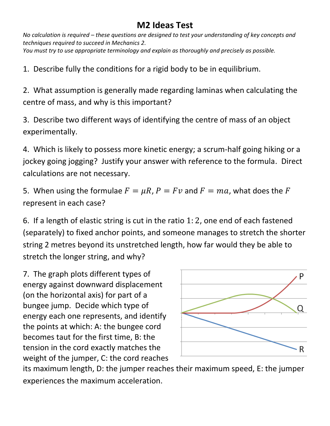## **M2 Ideas Test**

*No calculation is required – these questions are designed to test your understanding of key concepts and techniques required to succeed in Mechanics 2. You must try to use appropriate terminology and explain as thoroughly and precisely as possible.* 

1. Describe fully the conditions for a rigid body to be in equilibrium.

2. What assumption is generally made regarding laminas when calculating the centre of mass, and why is this important?

3. Describe two different ways of identifying the centre of mass of an object experimentally.

4. Which is likely to possess more kinetic energy; a scrum-half going hiking or a jockey going jogging? Justify your answer with reference to the formula. Direct calculations are not necessary.

5. When using the formulae  $F = \mu R$ ,  $P = Fv$  and  $F = ma$ , what does the F represent in each case?

6. If a length of elastic string is cut in the ratio 1: 2, one end of each fastened (separately) to fixed anchor points, and someone manages to stretch the shorter string 2 metres beyond its unstretched length, how far would they be able to stretch the longer string, and why?

7. The graph plots different types of energy against downward displacement (on the horizontal axis) for part of a bungee jump. Decide which type of energy each one represents, and identify the points at which: A: the bungee cord becomes taut for the first time, B: the tension in the cord exactly matches the weight of the jumper, C: the cord reaches



its maximum length, D: the jumper reaches their maximum speed, E: the jumper experiences the maximum acceleration.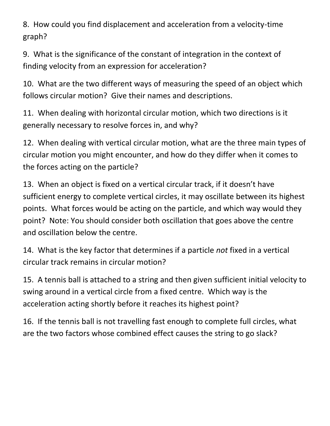8. How could you find displacement and acceleration from a velocity-time graph?

9. What is the significance of the constant of integration in the context of finding velocity from an expression for acceleration?

10. What are the two different ways of measuring the speed of an object which follows circular motion? Give their names and descriptions.

11. When dealing with horizontal circular motion, which two directions is it generally necessary to resolve forces in, and why?

12. When dealing with vertical circular motion, what are the three main types of circular motion you might encounter, and how do they differ when it comes to the forces acting on the particle?

13. When an object is fixed on a vertical circular track, if it doesn't have sufficient energy to complete vertical circles, it may oscillate between its highest points. What forces would be acting on the particle, and which way would they point? Note: You should consider both oscillation that goes above the centre and oscillation below the centre.

14. What is the key factor that determines if a particle *not* fixed in a vertical circular track remains in circular motion?

15. A tennis ball is attached to a string and then given sufficient initial velocity to swing around in a vertical circle from a fixed centre. Which way is the acceleration acting shortly before it reaches its highest point?

16. If the tennis ball is not travelling fast enough to complete full circles, what are the two factors whose combined effect causes the string to go slack?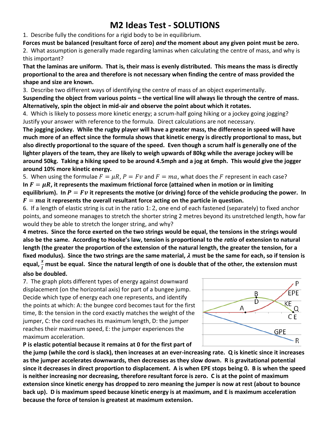## **M2 Ideas Test - SOLUTIONS**

1. Describe fully the conditions for a rigid body to be in equilibrium.

**Forces must be balanced (resultant force of zero)** *and* **the moment about any given point must be zero.** 

2. What assumption is generally made regarding laminas when calculating the centre of mass, and why is this important?

**That the laminas are uniform. That is, their mass is evenly distributed. This means the mass is directly proportional to the area and therefore is not necessary when finding the centre of mass provided the shape and size are known.** 

3. Describe two different ways of identifying the centre of mass of an object experimentally.

**Suspending the object from various points – the vertical line will always lie through the centre of mass. Alternatively, spin the object in mid-air and observe the point about which it rotates.** 

4. Which is likely to possess more kinetic energy; a scrum-half going hiking or a jockey going jogging? Justify your answer with reference to the formula. Direct calculations are not necessary.

**The jogging jockey. While the rugby player will have a greater mass, the difference in speed will have much more of an effect since the formula shows that kinetic energy is directly proportional to mass, but also directly proportional to the square of the speed. Even though a scrum half is generally one of the lighter players of the team, they are likely to weigh upwards of 80kg while the average jockey will be around 50kg. Taking a hiking speed to be around 4.5mph and a jog at 6mph. This would give the jogger around 10% more kinetic energy.** 

5. When using the formulae  $F = \mu R$ ,  $P = Fv$  and  $F = ma$ , what does the F represent in each case? In  $F = \mu R$ , it represents the maximum frictional force (attained when in motion or in limiting equilibrium). In  $P = Fv$  it represents the motive (or driving) force of the vehicle producing the power. In  $\boldsymbol{F} = \boldsymbol{m} \boldsymbol{a}$  it represents the overall resultant force acting on the particle in question.

6. If a length of elastic string is cut in the ratio 1: 2, one end of each fastened (separately) to fixed anchor points, and someone manages to stretch the shorter string 2 metres beyond its unstretched length, how far would they be able to stretch the longer string, and why?

**4 metres. Since the force exerted on the two strings would be equal, the tensions in the strings would also be the same. According to Hooke's law, tension is proportional to the** *ratio* **of extension to natural length (the greater the proportion of the extension of the natural length, the greater the tension, for a fixed modulus). Since the two strings are the same material, must be the same for each, so if tension is equal, must be equal. Since the natural length of one is double that of the other, the extension must** 

## **also be doubled.**

7. The graph plots different types of energy against downward displacement (on the horizontal axis) for part of a bungee jump. Decide which type of energy each one represents, and identify the points at which: A: the bungee cord becomes taut for the first time, B: the tension in the cord exactly matches the weight of the jumper, C: the cord reaches its maximum length, D: the jumper reaches their maximum speed, E: the jumper experiences the maximum acceleration.



**P is elastic potential because it remains at 0 for the first part of** 

**the jump (while the cord is slack), then increases at an ever-increasing rate. Q is kinetic since it increases as the jumper accelerates downwards, then decreases as they slow down. R is gravitational potential since it decreases in direct proportion to displacement. A is when EPE stops being 0. B is when the speed is neither increasing nor decreasing, therefore resultant force is zero. C is at the point of maximum extension since kinetic energy has dropped to zero meaning the jumper is now at rest (about to bounce back up). D is maximum speed because kinetic energy is at maximum, and E is maximum acceleration because the force of tension is greatest at maximum extension.**